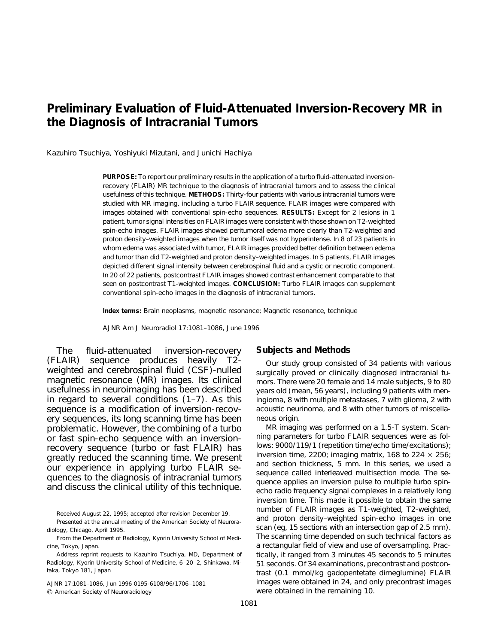# **Preliminary Evaluation of Fluid-Attenuated Inversion-Recovery MR in the Diagnosis of Intracranial Tumors**

Kazuhiro Tsuchiya, Yoshiyuki Mizutani, and Junichi Hachiya

**PURPOSE:** To report our preliminary results in the application of a turbo fluid-attenuated inversionrecovery (FLAIR) MR technique to the diagnosis of intracranial tumors and to assess the clinical usefulness of this technique. **METHODS:** Thirty-four patients with various intracranial tumors were studied with MR imaging, including a turbo FLAIR sequence. FLAIR images were compared with images obtained with conventional spin-echo sequences. **RESULTS:** Except for 2 lesions in 1 patient, tumor signal intensities on FLAIR images were consistent with those shown on T2-weighted spin-echo images. FLAIR images showed peritumoral edema more clearly than T2-weighted and proton density–weighted images when the tumor itself was not hyperintense. In 8 of 23 patients in whom edema was associated with tumor, FLAIR images provided better definition between edema and tumor than did T2-weighted and proton density–weighted images. In 5 patients, FLAIR images depicted different signal intensity between cerebrospinal fluid and a cystic or necrotic component. In 20 of 22 patients, postcontrast FLAIR images showed contrast enhancement comparable to that seen on postcontrast T1-weighted images. **CONCLUSION:** Turbo FLAIR images can supplement conventional spin-echo images in the diagnosis of intracranial tumors.

**Index terms:** Brain neoplasms, magnetic resonance; Magnetic resonance, technique

*AJNR Am J Neuroradiol* 17:1081–1086, June 1996

The fluid-attenuated inversion-recovery (FLAIR) sequence produces heavily T2 weighted and cerebrospinal fluid (CSF)-nulled magnetic resonance (MR) images. Its clinical usefulness in neuroimaging has been described in regard to several conditions (1–7). As this sequence is a modification of inversion-recovery sequences, its long scanning time has been problematic. However, the combining of a turbo or fast spin-echo sequence with an inversionrecovery sequence (turbo or fast FLAIR) has greatly reduced the scanning time. We present our experience in applying turbo FLAIR sequences to the diagnosis of intracranial tumors and discuss the clinical utility of this technique.

AJNR 17:1081–1086, Jun 1996 0195-6108/96/1706 –1081

 $Q$  American Society of Neuroradiology

## **Subjects and Methods**

Our study group consisted of 34 patients with various surgically proved or clinically diagnosed intracranial tumors. There were 20 female and 14 male subjects, 9 to 80 years old (mean, 56 years), including 9 patients with meningioma, 8 with multiple metastases, 7 with glioma, 2 with acoustic neurinoma, and 8 with other tumors of miscellaneous origin.

MR imaging was performed on a 1.5-T system. Scanning parameters for turbo FLAIR sequences were as follows: 9000/119/1 (repetition time/echo time/excitations); inversion time, 2200; imaging matrix, 168 to 224  $\times$  256; and section thickness, 5 mm. In this series, we used a sequence called *interleaved multisection mode*. The sequence applies an inversion pulse to multiple turbo spinecho radio frequency signal complexes in a relatively long inversion time. This made it possible to obtain the same number of FLAIR images as T1-weighted, T2-weighted, and proton density–weighted spin-echo images in one scan (eg, 15 sections with an intersection gap of 2.5 mm). The scanning time depended on such technical factors as a rectangular field of view and use of oversampling. Practically, it ranged from 3 minutes 45 seconds to 5 minutes 51 seconds. Of 34 examinations, precontrast and postcontrast (0.1 mmol/kg gadopentetate dimeglumine) FLAIR images were obtained in 24, and only precontrast images were obtained in the remaining 10.

Received August 22, 1995; accepted after revision December 19.

Presented at the annual meeting of the American Society of Neuroradiology, Chicago, April 1995.

From the Department of Radiology, Kyorin University School of Medicine, Tokyo, Japan.

Address reprint requests to Kazuhiro Tsuchiya, MD, Department of Radiology, Kyorin University School of Medicine, 6 –20 –2, Shinkawa, Mitaka, Tokyo 181, Japan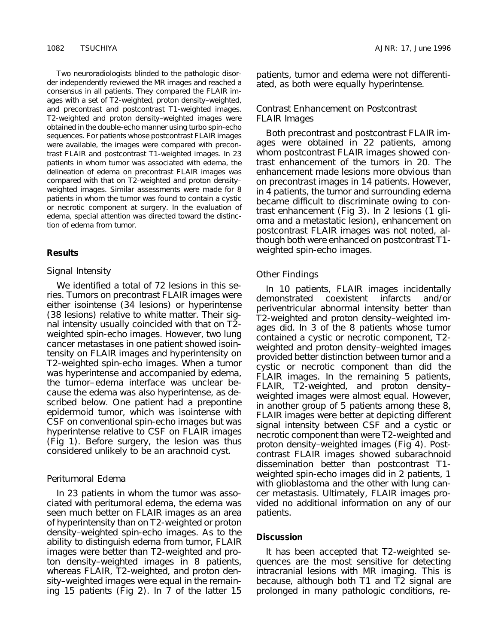Two neuroradiologists blinded to the pathologic disorder independently reviewed the MR images and reached a consensus in all patients. They compared the FLAIR images with a set of T2-weighted, proton density–weighted, and precontrast and postcontrast T1-weighted images. T2-weighted and proton density–weighted images were obtained in the double-echo manner using turbo spin-echo sequences. For patients whose postcontrast FLAIR images were available, the images were compared with precontrast FLAIR and postcontrast T1-weighted images. In 23 patients in whom tumor was associated with edema, the delineation of edema on precontrast FLAIR images was compared with that on T2-weighted and proton density– weighted images. Similar assessments were made for 8 patients in whom the tumor was found to contain a cystic or necrotic component at surgery. In the evaluation of edema, special attention was directed toward the distinction of edema from tumor.

#### **Results**

#### *Signal Intensity*

We identified a total of 72 lesions in this series. Tumors on precontrast FLAIR images were either isointense (34 lesions) or hyperintense (38 lesions) relative to white matter. Their signal intensity usually coincided with that on T2 weighted spin-echo images. However, two lung cancer metastases in one patient showed isointensity on FLAIR images and hyperintensity on T2-weighted spin-echo images. When a tumor was hyperintense and accompanied by edema, the tumor– edema interface was unclear because the edema was also hyperintense, as described below. One patient had a prepontine epidermoid tumor, which was isointense with CSF on conventional spin-echo images but was hyperintense relative to CSF on FLAIR images (Fig 1). Before surgery, the lesion was thus considered unlikely to be an arachnoid cyst.

# *Peritumoral Edema*

In 23 patients in whom the tumor was associated with peritumoral edema, the edema was seen much better on FLAIR images as an area of hyperintensity than on T2-weighted or proton density–weighted spin-echo images. As to the ability to distinguish edema from tumor, FLAIR images were better than T2-weighted and proton density–weighted images in 8 patients, whereas FLAIR, T2-weighted, and proton density–weighted images were equal in the remaining 15 patients (Fig 2). In 7 of the latter 15 patients, tumor and edema were not differentiated, as both were equally hyperintense.

# *Contrast Enhancement on Postcontrast FLAIR Images*

Both precontrast and postcontrast FLAIR images were obtained in 22 patients, among whom postcontrast FLAIR images showed contrast enhancement of the tumors in 20. The enhancement made lesions more obvious than on precontrast images in 14 patients. However, in 4 patients, the tumor and surrounding edema became difficult to discriminate owing to contrast enhancement (Fig 3). In 2 lesions (1 glioma and a metastatic lesion), enhancement on postcontrast FLAIR images was not noted, although both were enhanced on postcontrast T1 weighted spin-echo images.

#### *Other Findings*

In 10 patients, FLAIR images incidentally demonstrated coexistent infarcts and/or periventricular abnormal intensity better than T2-weighted and proton density–weighted images did. In 3 of the 8 patients whose tumor contained a cystic or necrotic component, T2 weighted and proton density–weighted images provided better distinction between tumor and a cystic or necrotic component than did the FLAIR images. In the remaining 5 patients, FLAIR, T2-weighted, and proton density– weighted images were almost equal. However, in another group of 5 patients among these 8, FLAIR images were better at depicting different signal intensity between CSF and a cystic or necrotic component than were T2-weighted and proton density–weighted images (Fig 4). Postcontrast FLAIR images showed subarachnoid dissemination better than postcontrast T1 weighted spin-echo images did in 2 patients, 1 with glioblastoma and the other with lung cancer metastasis. Ultimately, FLAIR images provided no additional information on any of our patients.

### **Discussion**

It has been accepted that T2-weighted sequences are the most sensitive for detecting intracranial lesions with MR imaging. This is because, although both T1 and T2 signal are prolonged in many pathologic conditions, re-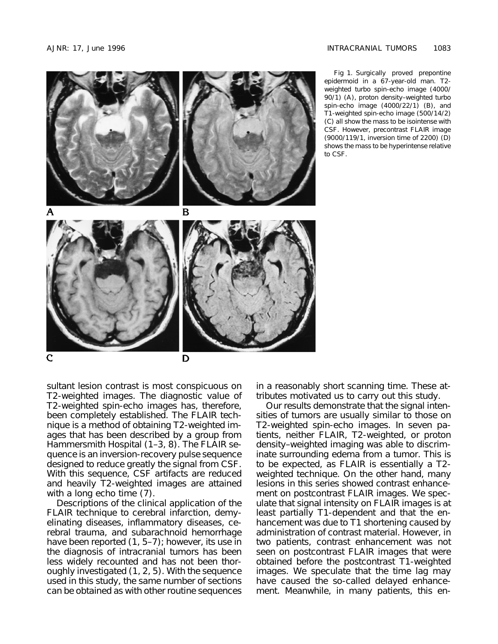

Fig 1. Surgically proved prepontine epidermoid in a 67-year-old man. T2 weighted turbo spin-echo image (4000/ 90/1) (*A*), proton density–weighted turbo spin-echo image (4000/22/1) (*B*), and T1-weighted spin-echo image (500/14/2) (*C*) all show the mass to be isointense with CSF. However, precontrast FLAIR image (9000/119/1, inversion time of 2200) (*D*) shows the mass to be hyperintense relative to CSF.

sultant lesion contrast is most conspicuous on T2-weighted images. The diagnostic value of T2-weighted spin-echo images has, therefore, been completely established. The FLAIR technique is a method of obtaining T2-weighted images that has been described by a group from Hammersmith Hospital (1–3, 8). The FLAIR sequence is an inversion-recovery pulse sequence designed to reduce greatly the signal from CSF. With this sequence, CSF artifacts are reduced and heavily T2-weighted images are attained with a long echo time (7).

Descriptions of the clinical application of the FLAIR technique to cerebral infarction, demyelinating diseases, inflammatory diseases, cerebral trauma, and subarachnoid hemorrhage have been reported  $(1, 5-7)$ ; however, its use in the diagnosis of intracranial tumors has been less widely recounted and has not been thoroughly investigated (1, 2, 5). With the sequence used in this study, the same number of sections can be obtained as with other routine sequences

in a reasonably short scanning time. These attributes motivated us to carry out this study.

Our results demonstrate that the signal intensities of tumors are usually similar to those on T2-weighted spin-echo images. In seven patients, neither FLAIR, T2-weighted, or proton density–weighted imaging was able to discriminate surrounding edema from a tumor. This is to be expected, as FLAIR is essentially a T2 weighted technique. On the other hand, many lesions in this series showed contrast enhancement on postcontrast FLAIR images. We speculate that signal intensity on FLAIR images is at least partially T1-dependent and that the enhancement was due to T1 shortening caused by administration of contrast material. However, in two patients, contrast enhancement was not seen on postcontrast FLAIR images that were obtained before the postcontrast T1-weighted images. We speculate that the time lag may have caused the so-called delayed enhancement. Meanwhile, in many patients, this en-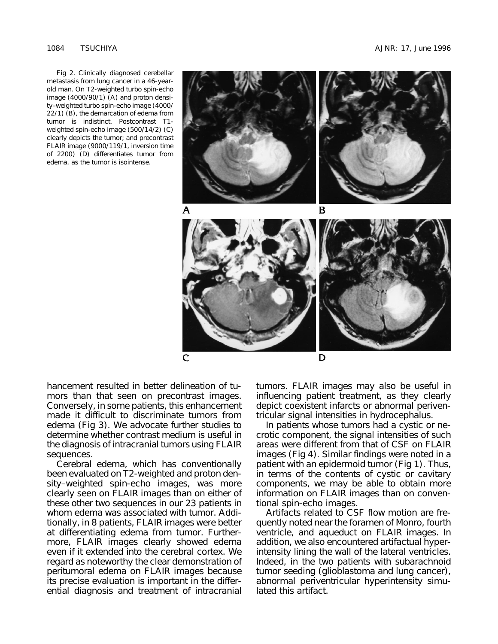Fig 2. Clinically diagnosed cerebellar metastasis from lung cancer in a 46-yearold man. On T2-weighted turbo spin-echo image (4000/90/1) (*A*) and proton density–weighted turbo spin-echo image (4000/ 22/1) (*B*), the demarcation of edema from tumor is indistinct. Postcontrast T1 weighted spin-echo image (500/14/2) (*C*) clearly depicts the tumor; and precontrast FLAIR image (9000/119/1, inversion time of 2200) (*D*) differentiates tumor from edema, as the tumor is isointense.



hancement resulted in better delineation of tumors than that seen on precontrast images. Conversely, in some patients, this enhancement made it difficult to discriminate tumors from edema (Fig 3). We advocate further studies to determine whether contrast medium is useful in the diagnosis of intracranial tumors using FLAIR sequences.

Cerebral edema, which has conventionally been evaluated on T2-weighted and proton density–weighted spin-echo images, was more clearly seen on FLAIR images than on either of these other two sequences in our 23 patients in whom edema was associated with tumor. Additionally, in 8 patients, FLAIR images were better at differentiating edema from tumor. Furthermore, FLAIR images clearly showed edema even if it extended into the cerebral cortex. We regard as noteworthy the clear demonstration of peritumoral edema on FLAIR images because its precise evaluation is important in the differential diagnosis and treatment of intracranial

tumors. FLAIR images may also be useful in influencing patient treatment, as they clearly depict coexistent infarcts or abnormal periventricular signal intensities in hydrocephalus.

In patients whose tumors had a cystic or necrotic component, the signal intensities of such areas were different from that of CSF on FLAIR images (Fig 4). Similar findings were noted in a patient with an epidermoid tumor (Fig 1). Thus, in terms of the contents of cystic or cavitary components, we may be able to obtain more information on FLAIR images than on conventional spin-echo images.

Artifacts related to CSF flow motion are frequently noted near the foramen of Monro, fourth ventricle, and aqueduct on FLAIR images. In addition, we also encountered artifactual hyperintensity lining the wall of the lateral ventricles. Indeed, in the two patients with subarachnoid tumor seeding (glioblastoma and lung cancer), abnormal periventricular hyperintensity simulated this artifact.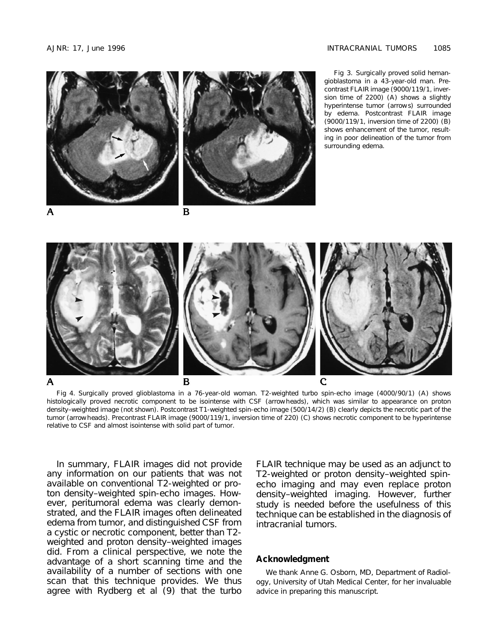

Fig 4. Surgically proved glioblastoma in a 76-year-old woman. T2-weighted turbo spin-echo image (4000/90/1) (*A*) shows histologically proved necrotic component to be isointense with CSF (*arrowheads*), which was similar to appearance on proton density–weighted image (not shown). Postcontrast T1-weighted spin-echo image (500/14/2) (*B*) clearly depicts the necrotic part of the tumor (*arrowheads*). Precontrast FLAIR image (9000/119/1, inversion time of 220) (*C*) shows necrotic component to be hyperintense relative to CSF and almost isointense with solid part of tumor.

In summary, FLAIR images did not provide any information on our patients that was not available on conventional T2-weighted or proton density–weighted spin-echo images. However, peritumoral edema was clearly demonstrated, and the FLAIR images often delineated edema from tumor, and distinguished CSF from a cystic or necrotic component, better than T2 weighted and proton density–weighted images did. From a clinical perspective, we note the advantage of a short scanning time and the availability of a number of sections with one scan that this technique provides. We thus agree with Rydberg et al (9) that the turbo FLAIR technique may be used as an adjunct to T2-weighted or proton density–weighted spinecho imaging and may even replace proton density–weighted imaging. However, further study is needed before the usefulness of this technique can be established in the diagnosis of intracranial tumors.

## **Acknowledgment**

We thank Anne G. Osborn, MD, Department of Radiology, University of Utah Medical Center, for her invaluable advice in preparing this manuscript.